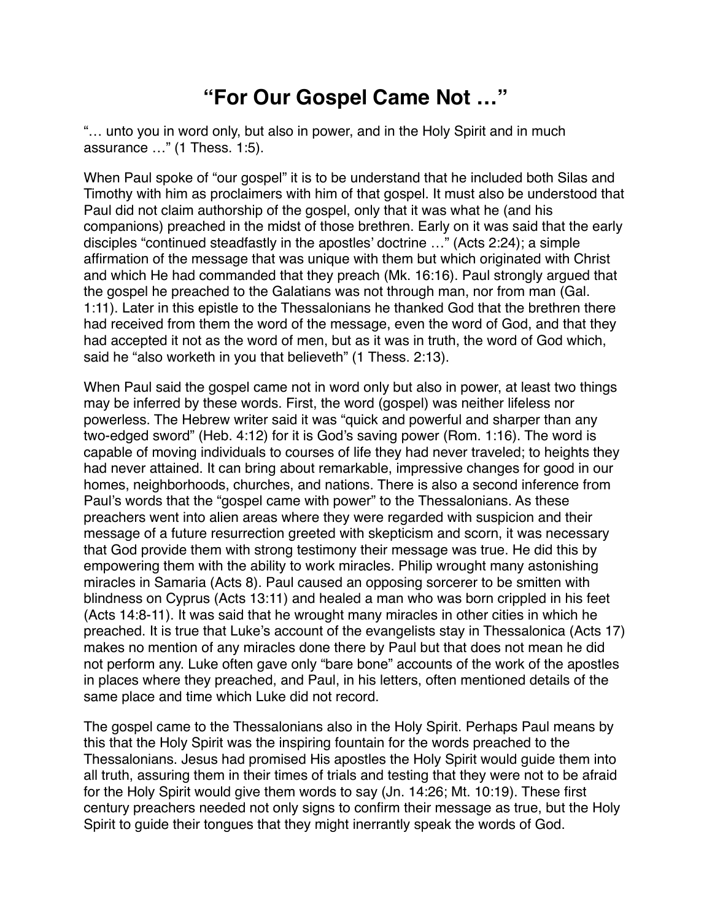## **"For Our Gospel Came Not …"**

"… unto you in word only, but also in power, and in the Holy Spirit and in much assurance …" (1 Thess. 1:5).

When Paul spoke of "our gospel" it is to be understand that he included both Silas and Timothy with him as proclaimers with him of that gospel. It must also be understood that Paul did not claim authorship of the gospel, only that it was what he (and his companions) preached in the midst of those brethren. Early on it was said that the early disciples "continued steadfastly in the apostles' doctrine …" (Acts 2:24); a simple affirmation of the message that was unique with them but which originated with Christ and which He had commanded that they preach (Mk. 16:16). Paul strongly argued that the gospel he preached to the Galatians was not through man, nor from man (Gal. 1:11). Later in this epistle to the Thessalonians he thanked God that the brethren there had received from them the word of the message, even the word of God, and that they had accepted it not as the word of men, but as it was in truth, the word of God which, said he "also worketh in you that believeth" (1 Thess. 2:13).

When Paul said the gospel came not in word only but also in power, at least two things may be inferred by these words. First, the word (gospel) was neither lifeless nor powerless. The Hebrew writer said it was "quick and powerful and sharper than any two-edged sword" (Heb. 4:12) for it is God's saving power (Rom. 1:16). The word is capable of moving individuals to courses of life they had never traveled; to heights they had never attained. It can bring about remarkable, impressive changes for good in our homes, neighborhoods, churches, and nations. There is also a second inference from Paul's words that the "gospel came with power" to the Thessalonians. As these preachers went into alien areas where they were regarded with suspicion and their message of a future resurrection greeted with skepticism and scorn, it was necessary that God provide them with strong testimony their message was true. He did this by empowering them with the ability to work miracles. Philip wrought many astonishing miracles in Samaria (Acts 8). Paul caused an opposing sorcerer to be smitten with blindness on Cyprus (Acts 13:11) and healed a man who was born crippled in his feet (Acts 14:8-11). It was said that he wrought many miracles in other cities in which he preached. It is true that Luke's account of the evangelists stay in Thessalonica (Acts 17) makes no mention of any miracles done there by Paul but that does not mean he did not perform any. Luke often gave only "bare bone" accounts of the work of the apostles in places where they preached, and Paul, in his letters, often mentioned details of the same place and time which Luke did not record.

The gospel came to the Thessalonians also in the Holy Spirit. Perhaps Paul means by this that the Holy Spirit was the inspiring fountain for the words preached to the Thessalonians. Jesus had promised His apostles the Holy Spirit would guide them into all truth, assuring them in their times of trials and testing that they were not to be afraid for the Holy Spirit would give them words to say (Jn. 14:26; Mt. 10:19). These first century preachers needed not only signs to confirm their message as true, but the Holy Spirit to guide their tongues that they might inerrantly speak the words of God.